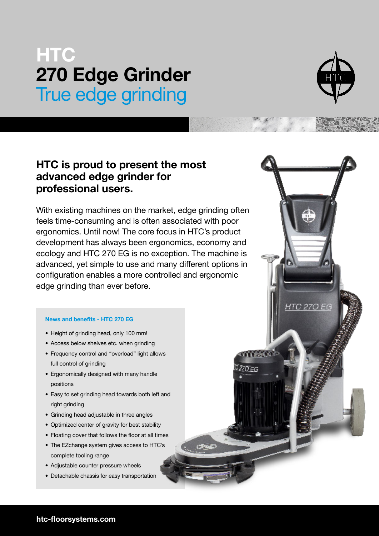## HTC 270 Edge Grinder True edge grinding



HTC 270 EG

mee's

270 е в

## HTC is proud to present the most advanced edge grinder for professional users.

With existing machines on the market, edge grinding often feels time-consuming and is often associated with poor ergonomics. Until now! The core focus in HTC's product development has always been ergonomics, economy and ecology and HTC 270 EG is no exception. The machine is advanced, yet simple to use and many different options in configuration enables a more controlled and ergonomic edge grinding than ever before.

### News and benefits - HTC 270 EG

- Height of grinding head, only 100 mm!
- Access below shelves etc. when grinding
- Frequency control and "overload" light allows full control of grinding
- Ergonomically designed with many handle positions
- Easy to set grinding head towards both left and right grinding
- Grinding head adjustable in three angles
- Optimized center of gravity for best stability
- Floating cover that follows the floor at all times
- The EZchange system gives access to HTC's complete tooling range
- Adjustable counter pressure wheels
- Detachable chassis for easy transportation